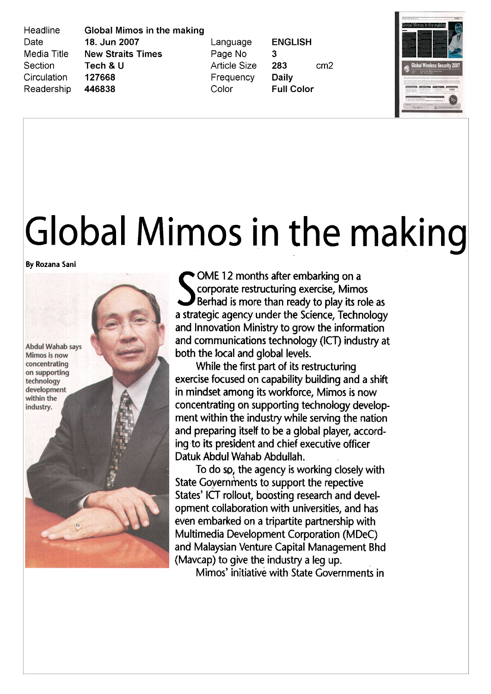Headline Date Media Title Section Circulation Readership **Global Mimos in the making** 18. Jun 2007 **New Straits Times** Tech & U 127668 446838

Language Page No **Article Size** Frequency Color

**ENGLISH** 3 283  $cm<sub>2</sub>$ **Daily Full Color** 



## Global Mimos in the making

By Rozana Sani



• OME 12 months after embarking on a corporate restructuring exercise, Mimos Berhad is more than ready to play its role as a strategic agency under the Science, Technology and Innovation Ministry to grow the information and communications technology (ICT) industry at both the local and global levels

While the first par<sup>t</sup> of its restructuring exercise focused on capability building and <sup>a</sup> shift in mindset among its workforce. Mimos is now concentrating on supporting technology develop ment within the industry while serving the nation and preparing itself to be a global player, according to its president and chief executive officer Datuk Abdul Wahab Abduilah

To do so, the agency is working closely with State Governments to support the repective States' ICT rollout, boosting research and development collaboration with universities, and has even embarked on <sup>a</sup> tripartite partnership with Multimedia Development Corporation (MDeC) and Malaysian Venture Capital Management Bhd (Mavcap) to give the industry a leg up.

Mimos' initiative with State Governments in